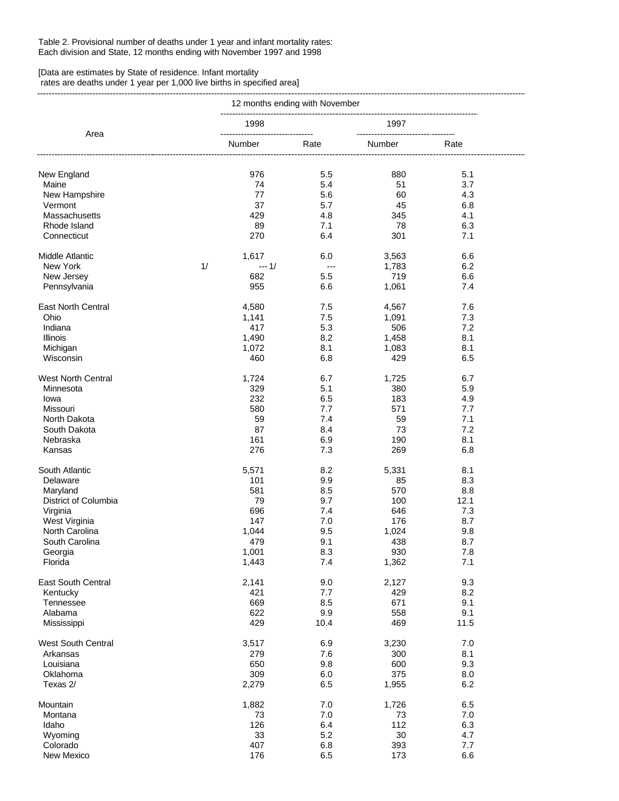## Table 2. Provisional number of deaths under 1 year and infant mortality rates: Each division and State, 12 months ending with November 1997 and 1998

## [Data are estimates by State of residence. Infant mortality

 rates are deaths under 1 year per 1,000 live births in specified area] ---------------------------------------------------------------------------------------------------------------------------------------------------------------------------

|                           | 12 months ending with November |              |                |                                          |            |  |
|---------------------------|--------------------------------|--------------|----------------|------------------------------------------|------------|--|
|                           |                                | 1998         |                | 1997                                     |            |  |
| Area                      |                                | Number       | Rate           | ------------------------------<br>Number | Rate       |  |
| New England               |                                | 976          | 5.5            | 880                                      | 5.1        |  |
| Maine                     |                                | 74           | 5.4            | 51                                       | 3.7        |  |
| New Hampshire             |                                | 77           | 5.6            | 60                                       | 4.3        |  |
| Vermont                   |                                | 37           | 5.7            | 45                                       | 6.8        |  |
| Massachusetts             |                                | 429          | 4.8            | 345                                      | 4.1        |  |
| Rhode Island              |                                | 89           |                | 78                                       | 6.3        |  |
| Connecticut               |                                | 270          | 7.1<br>6.4     | 301                                      | 7.1        |  |
| <b>Middle Atlantic</b>    |                                | 1,617        | 6.0            | 3,563                                    | 6.6        |  |
| New York                  | 1/                             | $--- 1/$     | $\overline{a}$ | 1,783                                    | 6.2        |  |
|                           |                                | 682          | 5.5            | 719                                      | 6.6        |  |
| New Jersey                |                                | 955          | 6.6            |                                          | 7.4        |  |
| Pennsylvania              |                                |              |                | 1,061                                    |            |  |
| <b>East North Central</b> |                                | 4,580        | 7.5            | 4,567                                    | 7.6        |  |
| Ohio                      |                                | 1,141        | 7.5            | 1,091                                    | 7.3        |  |
| Indiana                   |                                | 417          | 5.3            | 506                                      | 7.2        |  |
| <b>Illinois</b>           |                                | 1,490        | 8.2            | 1,458                                    | 8.1        |  |
| Michigan                  |                                | 1,072        | 8.1            | 1,083                                    | 8.1        |  |
| Wisconsin                 |                                | 460          | 6.8            | 429                                      | 6.5        |  |
| <b>West North Central</b> |                                | 1,724        | 6.7            | 1,725                                    | 6.7        |  |
| Minnesota                 |                                | 329          | 5.1            | 380                                      | 5.9        |  |
| lowa                      |                                | 232          | 6.5            | 183                                      | 4.9        |  |
| Missouri                  |                                | 580          | 7.7            | 571                                      | 7.7        |  |
| North Dakota              |                                | 59           | 7.4            | 59                                       | 7.1        |  |
| South Dakota              |                                | 87           | 8.4            | 73                                       | 7.2        |  |
| Nebraska                  |                                | 161          | 6.9            | 190                                      | 8.1        |  |
| Kansas                    |                                | 276          | 7.3            | 269                                      | 6.8        |  |
| South Atlantic            |                                | 5,571        | 8.2            | 5,331                                    | 8.1        |  |
| Delaware                  |                                | 101          | 9.9            | 85                                       | 8.3        |  |
| Maryland                  |                                | 581          | 8.5            | 570                                      | 8.8        |  |
| District of Columbia      |                                | 79           | 9.7            | 100                                      | 12.1       |  |
| Virginia                  |                                | 696          | 7.4            | 646                                      | 7.3        |  |
| West Virginia             |                                | 147          | 7.0            | 176                                      | 8.7        |  |
| North Carolina            |                                | 1,044        | 9.5            | 1,024                                    | 9.8        |  |
| South Carolina            |                                | 479          | 9.1            | 438                                      | 8.7        |  |
| Georgia                   |                                | 1,001        | 8.3            | 930                                      | $7.8\,$    |  |
| Florida                   |                                | 1,443        | 7.4            | 1,362                                    | 7.1        |  |
| East South Central        |                                | 2,141        | 9.0            | 2,127                                    | 9.3        |  |
| Kentucky                  |                                | 421          | 7.7            | 429                                      | 8.2        |  |
| Tennessee                 |                                | 669          | 8.5            | 671                                      | 9.1        |  |
| Alabama                   |                                | 622          | 9.9            | 558                                      | 9.1        |  |
| Mississippi               |                                | 429          | 10.4           | 469                                      | 11.5       |  |
|                           |                                |              | 6.9            | 3,230                                    | 7.0        |  |
| West South Central        |                                | 3,517        |                |                                          |            |  |
| Arkansas                  |                                | 279          | 7.6            | 300                                      | 8.1        |  |
| Louisiana                 |                                | 650          | 9.8            | 600                                      | 9.3        |  |
| Oklahoma<br>Texas 2/      |                                | 309<br>2,279 | 6.0<br>6.5     | 375<br>1,955                             | 8.0<br>6.2 |  |
|                           |                                |              |                |                                          |            |  |
| Mountain                  |                                | 1,882        | 7.0            | 1,726                                    | 6.5        |  |
| Montana                   |                                | 73           | 7.0            | 73                                       | 7.0        |  |
| Idaho                     |                                | 126          | 6.4            | 112                                      | 6.3        |  |
| Wyoming                   |                                | 33           | 5.2            | $30\,$                                   | 4.7        |  |
| Colorado                  |                                | 407          | 6.8            | 393                                      | 7.7        |  |
| New Mexico                |                                | 176          | 6.5            | 173                                      | 6.6        |  |